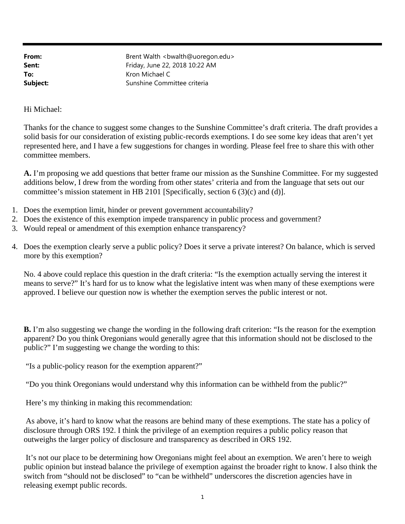**From:** Brent Walth <br/> <br/>
RED <br/>
Brent Walth <br/><br/>
<br/>
<br/>
<br/>
Show that the state of the state of the state of the state<br/>  $\sim$  Malth <br/>  $\sim$  Malth <br/>  $\sim$  Malth <br/>  $\sim$  Malth <br/>  $\sim$  Ma **Sent:** Friday, June 22, 2018 10:22 AM **To:** Kron Michael C **Subject:** Sunshine Committee criteria

Hi Michael:

Thanks for the chance to suggest some changes to the Sunshine Committee's draft criteria. The draft provides a solid basis for our consideration of existing public-records exemptions. I do see some key ideas that aren't yet represented here, and I have a few suggestions for changes in wording. Please feel free to share this with other committee members.

**A.** I'm proposing we add questions that better frame our mission as the Sunshine Committee. For my suggested additions below, I drew from the wording from other states' criteria and from the language that sets out our committee's mission statement in HB 2101 [Specifically, section 6 (3)(c) and (d)].

- 1. Does the exemption limit, hinder or prevent government accountability?
- 2. Does the existence of this exemption impede transparency in public process and government?
- 3. Would repeal or amendment of this exemption enhance transparency?
- 4. Does the exemption clearly serve a public policy? Does it serve a private interest? On balance, which is served more by this exemption?

No. 4 above could replace this question in the draft criteria: "Is the exemption actually serving the interest it means to serve?" It's hard for us to know what the legislative intent was when many of these exemptions were approved. I believe our question now is whether the exemption serves the public interest or not.

**B.** I'm also suggesting we change the wording in the following draft criterion: "Is the reason for the exemption apparent? Do you think Oregonians would generally agree that this information should not be disclosed to the public?" I'm suggesting we change the wording to this:

"Is a public-policy reason for the exemption apparent?"

"Do you think Oregonians would understand why this information can be withheld from the public?"

Here's my thinking in making this recommendation:

 As above, it's hard to know what the reasons are behind many of these exemptions. The state has a policy of disclosure through ORS 192. I think the privilege of an exemption requires a public policy reason that outweighs the larger policy of disclosure and transparency as described in ORS 192.

 It's not our place to be determining how Oregonians might feel about an exemption. We aren't here to weigh public opinion but instead balance the privilege of exemption against the broader right to know. I also think the switch from "should not be disclosed" to "can be withheld" underscores the discretion agencies have in releasing exempt public records.